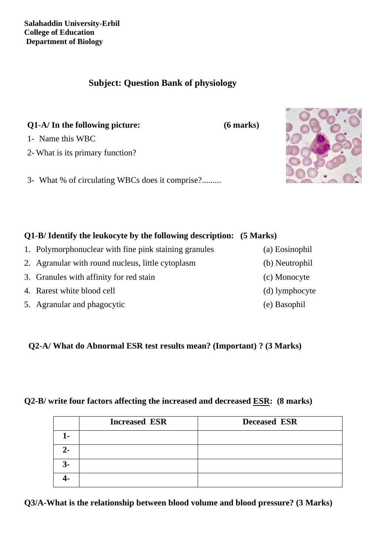**Salahaddin University-Erbil College of Education Department of Biology**

## **Subject: Question Bank of physiology**

**Q1-A/ In the following picture: (6 marks)** 

1- Name this WBC

2- What is its primary function?

3- What % of circulating WBCs does it comprise?.........

# **Q1-B/ Identify the leukocyte by the following description: (5 Marks)**

- 1. Polymorphonuclear with fine pink staining granules (a) Eosinophil
- 
- 
- 4. Rarest white blood cell (d) lymphocyte
- 5. Agranular and phagocytic (e) Basophil

 **Q2-A/ What do Abnormal ESR test results mean? (Important) ? (3 Marks)**

## **Q2-B/ write four factors affecting the increased and decreased ESR: (8 marks)**

|      | <b>Increased ESR</b> | <b>Deceased ESR</b> |  |
|------|----------------------|---------------------|--|
| 1-   |                      |                     |  |
| $2-$ |                      |                     |  |
| $3-$ |                      |                     |  |
|      |                      |                     |  |

**Q3/A-What is the relationship between blood volume and blood pressure? (3 Marks)**



- 
- 2. Agranular with round nucleus, little cytoplasm (b) Neutrophil
- 3. Granules with affinity for red stain (c) Monocyte
- 
-